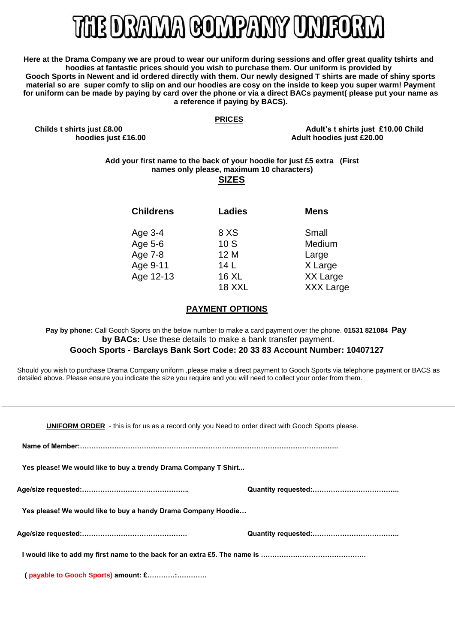# E DRAMA COMPANY UNIFORM

**Here at the Drama Company we are proud to wear our uniform during sessions and offer great quality tshirts and hoodies at fantastic prices should you wish to purchase them. Our uniform is provided by Gooch Sports in Newent and id ordered directly with them. Our newly designed T shirts are made of shiny sports material so are super comfy to slip on and our hoodies are cosy on the inside to keep you super warm! Payment for uniform can be made by paying by card over the phone or via a direct BACs payment( please put your name as a reference if paying by BACS).** 

### **PRICES**

**Childs t shirts just £8.00 Adult's t shirts just £10.00 Child hoodies just £16.00 Adult hoodies just £20.00** 

### **Add your first name to the back of your hoodie for just £5 extra (First names only please, maximum 10 characters)**

## **SIZES**

| <b>Childrens</b> | <b>Ladies</b> | <b>Mens</b>      |
|------------------|---------------|------------------|
| Age 3-4          | 8 XS          | Small            |
| Age 5-6          | 10S           | Medium           |
| Age 7-8          | 12 M          | Large            |
| Age 9-11         | 14 L          | X Large          |
| Age 12-13        | <b>16 XL</b>  | XX Large         |
|                  | <b>18 XXL</b> | <b>XXX Large</b> |

# **PAYMENT OPTIONS**

**Pay by phone:** Call Gooch Sports on the below number to make a card payment over the phone. **01531 821084 Pay by BACs:** Use these details to make a bank transfer payment.

# **Gooch Sports - Barclays Bank Sort Code: 20 33 83 Account Number: 10407127**

Should you wish to purchase Drama Company uniform ,please make a direct payment to Gooch Sports via telephone payment or BACS as detailed above. Please ensure you indicate the size you require and you will need to collect your order from them.

| <b>UNIFORM ORDER</b> - this is for us as a record only you Need to order direct with Gooch Sports please. |  |  |  |
|-----------------------------------------------------------------------------------------------------------|--|--|--|
|                                                                                                           |  |  |  |
| Yes please! We would like to buy a trendy Drama Company T Shirt                                           |  |  |  |
|                                                                                                           |  |  |  |
| Yes please! We would like to buy a handy Drama Company Hoodie                                             |  |  |  |
|                                                                                                           |  |  |  |
|                                                                                                           |  |  |  |
|                                                                                                           |  |  |  |